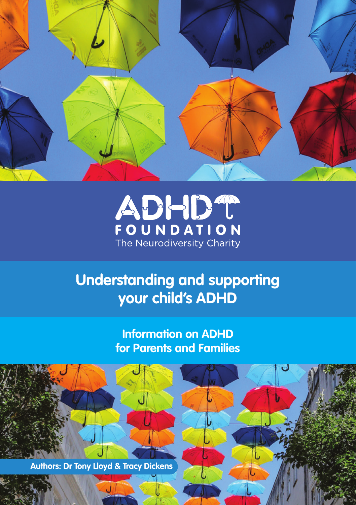



# **Understanding and supporting your child's ADHD**

**Information on ADHD for Parents and Families**

**Authors: Dr Tony Lloyd & Tracy Dickens**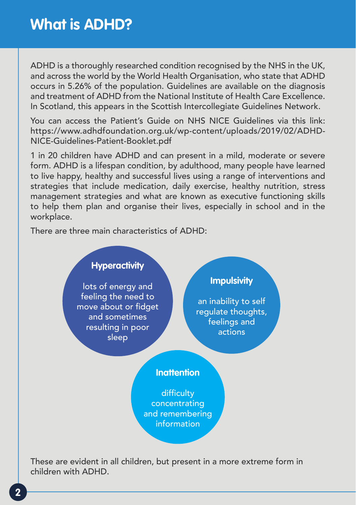ADHD is a thoroughly researched condition recognised by the NHS in the UK, and across the world by the World Health Organisation, who state that ADHD occurs in 5.26% of the population. Guidelines are available on the diagnosis and treatment of ADHD from the National Institute of Health Care Excellence. In Scotland, this appears in the Scottish Intercollegiate Guidelines Network.

You can access the Patient's Guide on NHS NICE Guidelines via this link: https://www.adhdfoundation.org.uk/wp-content/uploads/2019/02/ADHD-NICE-Guidelines-Patient-Booklet.pdf

1 in 20 children have ADHD and can present in a mild, moderate or severe form. ADHD is a lifespan condition, by adulthood, many people have learned to live happy, healthy and successful lives using a range of interventions and strategies that include medication, daily exercise, healthy nutrition, stress management strategies and what are known as executive functioning skills to help them plan and organise their lives, especially in school and in the workplace.

There are three main characteristics of ADHD:



These are evident in all children, but present in a more extreme form in children with ADHD.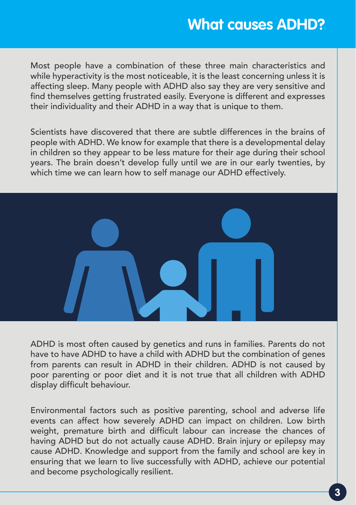## **What causes ADHD?**

Most people have a combination of these three main characteristics and while hyperactivity is the most noticeable, it is the least concerning unless it is affecting sleep. Many people with ADHD also say they are very sensitive and find themselves getting frustrated easily. Everyone is different and expresses their individuality and their ADHD in a way that is unique to them.

Scientists have discovered that there are subtle differences in the brains of people with ADHD. We know for example that there is a developmental delay in children so they appear to be less mature for their age during their school years. The brain doesn't develop fully until we are in our early twenties, by which time we can learn how to self manage our ADHD effectively.



ADHD is most often caused by genetics and runs in families. Parents do not have to have ADHD to have a child with ADHD but the combination of genes from parents can result in ADHD in their children. ADHD is not caused by poor parenting or poor diet and it is not true that all children with ADHD display difficult behaviour.

Environmental factors such as positive parenting, school and adverse life events can affect how severely ADHD can impact on children. Low birth weight, premature birth and difficult labour can increase the chances of having ADHD but do not actually cause ADHD. Brain injury or epilepsy may cause ADHD. Knowledge and support from the family and school are key in ensuring that we learn to live successfully with ADHD, achieve our potential and become psychologically resilient.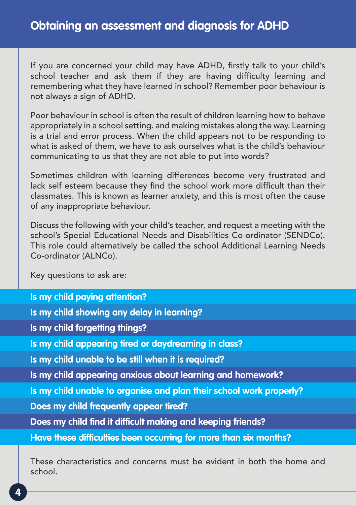If you are concerned your child may have ADHD, firstly talk to your child's school teacher and ask them if they are having difficulty learning and remembering what they have learned in school? Remember poor behaviour is not always a sign of ADHD.

Poor behaviour in school is often the result of children learning how to behave appropriately in a school setting. and making mistakes along the way. Learning is a trial and error process. When the child appears not to be responding to what is asked of them, we have to ask ourselves what is the child's behaviour communicating to us that they are not able to put into words?

Sometimes children with learning differences become very frustrated and lack self esteem because they find the school work more difficult than their classmates. This is known as learner anxiety, and this is most often the cause of any inappropriate behaviour.

Discuss the following with your child's teacher, and request a meeting with the school's Special Educational Needs and Disabilities Co-ordinator (SENDCo). This role could alternatively be called the school Additional Learning Needs Co-ordinator (ALNCo).

Key questions to ask are:

**Is my child paying attention? Is my child showing any delay in learning? Is my child forgetting things? Is my child appearing tired or daydreaming in class? Is my child unable to be still when it is required? Is my child appearing anxious about learning and homework? Is my child unable to organise and plan their school work properly? Does my child frequently appear tired? Does my child find it difficult making and keeping friends? Have these difficulties been occurring for more than six months?**

These characteristics and concerns must be evident in both the home and school.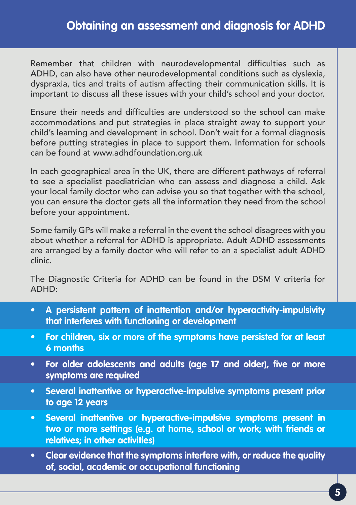Remember that children with neurodevelopmental difficulties such as ADHD, can also have other neurodevelopmental conditions such as dyslexia, dyspraxia, tics and traits of autism affecting their communication skills. It is important to discuss all these issues with your child's school and your doctor.

Ensure their needs and difficulties are understood so the school can make accommodations and put strategies in place straight away to support your child's learning and development in school. Don't wait for a formal diagnosis before putting strategies in place to support them. Information for schools can be found at www.adhdfoundation.org.uk

In each geographical area in the UK, there are different pathways of referral to see a specialist paediatrician who can assess and diagnose a child. Ask your local family doctor who can advise you so that together with the school, you can ensure the doctor gets all the information they need from the school before your appointment.

Some family GPs will make a referral in the event the school disagrees with you about whether a referral for ADHD is appropriate. Adult ADHD assessments are arranged by a family doctor who will refer to an a specialist adult ADHD clinic.

The Diagnostic Criteria for ADHD can be found in the DSM V criteria for ADHD:

- **• A persistent pattern of inattention and/or hyperactivity-impulsivity that interferes with functioning or development**
- **• For children, six or more of the symptoms have persisted for at least 6 months**
- **• For older adolescents and adults (age 17 and older), five or more symptoms are required**
- **• Several inattentive or hyperactive-impulsive symptoms present prior to age 12 years**
- **• Several inattentive or hyperactive-impulsive symptoms present in two or more settings (e.g. at home, school or work; with friends or relatives; in other activities)**
- **• Clear evidence that the symptoms interfere with, or reduce the quality of, social, academic or occupational functioning**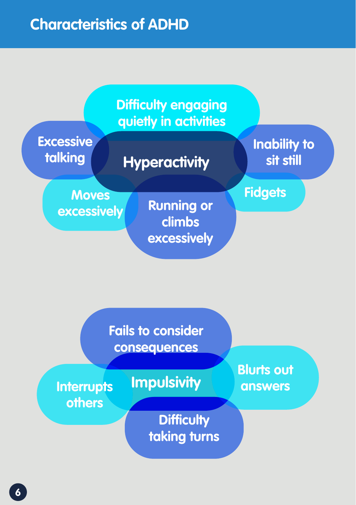

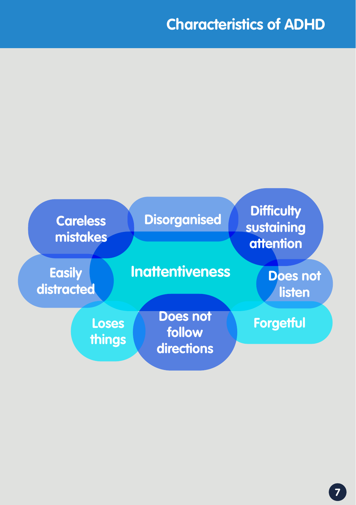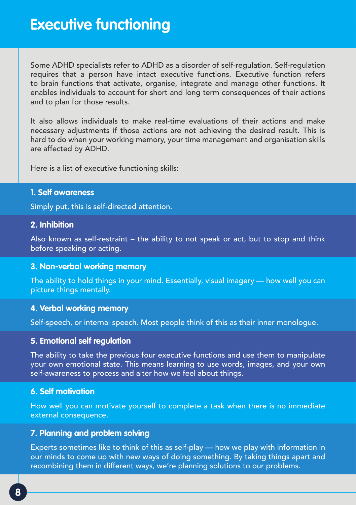Some ADHD specialists refer to ADHD as a disorder of self-regulation. Self-regulation requires that a person have intact executive functions. Executive function refers to brain functions that activate, organise, integrate and manage other functions. It enables individuals to account for short and long term consequences of their actions and to plan for those results.

It also allows individuals to make real-time evaluations of their actions and make necessary adjustments if those actions are not achieving the desired result. This is hard to do when your working memory, your time management and organisation skills are affected by ADHD.

Here is a list of executive functioning skills:

#### **1. Self awareness**

Simply put, this is self-directed attention.

#### **2. Inhibition**

Also known as self-restraint – the ability to not speak or act, but to stop and think before speaking or acting.

#### **3. Non-verbal working memory**

The ability to hold things in your mind. Essentially, visual imagery — how well you can picture things mentally.

#### **4. Verbal working memory**

Self-speech, or internal speech. Most people think of this as their inner monologue.

#### **5. Emotional self regulation**

The ability to take the previous four executive functions and use them to manipulate your own emotional state. This means learning to use words, images, and your own self-awareness to process and alter how we feel about things.

#### **6. Self motivation**

How well you can motivate yourself to complete a task when there is no immediate external consequence.

#### **7. Planning and problem solving**

Experts sometimes like to think of this as self-play — how we play with information in our minds to come up with new ways of doing something. By taking things apart and recombining them in different ways, we're planning solutions to our problems.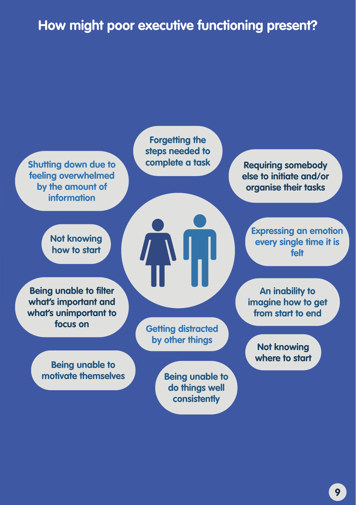## **How might poor executive functioning present?**

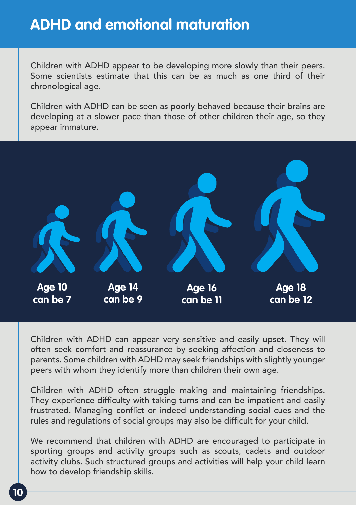## **ADHD and emotional maturation**

Children with ADHD appear to be developing more slowly than their peers. Some scientists estimate that this can be as much as one third of their chronological age.

Children with ADHD can be seen as poorly behaved because their brains are developing at a slower pace than those of other children their age, so they appear immature.



Children with ADHD can appear very sensitive and easily upset. They will often seek comfort and reassurance by seeking affection and closeness to parents. Some children with ADHD may seek friendships with slightly younger peers with whom they identify more than children their own age.

Children with ADHD often struggle making and maintaining friendships. They experience difficulty with taking turns and can be impatient and easily frustrated. Managing conflict or indeed understanding social cues and the rules and regulations of social groups may also be difficult for your child.

We recommend that children with ADHD are encouraged to participate in sporting groups and activity groups such as scouts, cadets and outdoor activity clubs. Such structured groups and activities will help your child learn how to develop friendship skills.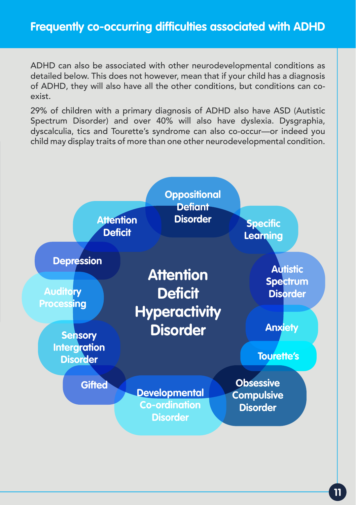ADHD can also be associated with other neurodevelopmental conditions as detailed below. This does not however, mean that if your child has a diagnosis of ADHD, they will also have all the other conditions, but conditions can coexist.

29% of children with a primary diagnosis of ADHD also have ASD (Autistic Spectrum Disorder) and over 40% will also have dyslexia. Dysgraphia, dyscalculia, tics and Tourette's syndrome can also co-occur—or indeed you child may display traits of more than one other neurodevelopmental condition.

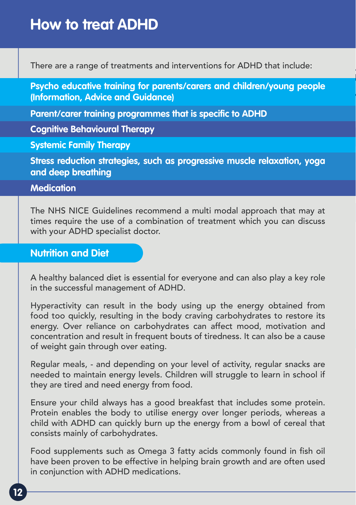There are a range of treatments and interventions for ADHD that include:

**Psycho educative training for parents/carers and children/young people (Information, Advice and Guidance)**

**Parent/carer training programmes that is specific to ADHD**

**Cognitive Behavioural Therapy**

**Systemic Family Therapy**

**Stress reduction strategies, such as progressive muscle relaxation, yoga and deep breathing**

#### **Medication**

The NHS NICE Guidelines recommend a multi modal approach that may at times require the use of a combination of treatment which you can discuss with your ADHD specialist doctor.

### **Nutrition and Diet**

A healthy balanced diet is essential for everyone and can also play a key role in the successful management of ADHD.

Hyperactivity can result in the body using up the energy obtained from food too quickly, resulting in the body craving carbohydrates to restore its energy. Over reliance on carbohydrates can affect mood, motivation and concentration and result in frequent bouts of tiredness. It can also be a cause of weight gain through over eating.

Regular meals, - and depending on your level of activity, regular snacks are needed to maintain energy levels. Children will struggle to learn in school if they are tired and need energy from food.

Ensure your child always has a good breakfast that includes some protein. Protein enables the body to utilise energy over longer periods, whereas a child with ADHD can quickly burn up the energy from a bowl of cereal that consists mainly of carbohydrates.

Food supplements such as Omega 3 fatty acids commonly found in fish oil have been proven to be effective in helping brain growth and are often used in conjunction with ADHD medications.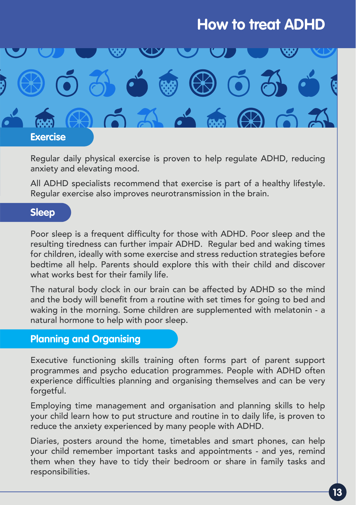

Regular daily physical exercise is proven to help regulate ADHD, reducing anxiety and elevating mood.

All ADHD specialists recommend that exercise is part of a healthy lifestyle. Regular exercise also improves neurotransmission in the brain.

### **Sleep**

Poor sleep is a frequent difficulty for those with ADHD. Poor sleep and the resulting tiredness can further impair ADHD. Regular bed and waking times for children, ideally with some exercise and stress reduction strategies before bedtime all help. Parents should explore this with their child and discover what works best for their family life.

The natural body clock in our brain can be affected by ADHD so the mind and the body will benefit from a routine with set times for going to bed and waking in the morning. Some children are supplemented with melatonin - a natural hormone to help with poor sleep.

### **Planning and Organising**

Executive functioning skills training often forms part of parent support programmes and psycho education programmes. People with ADHD often experience difficulties planning and organising themselves and can be very forgetful.

Employing time management and organisation and planning skills to help your child learn how to put structure and routine in to daily life, is proven to reduce the anxiety experienced by many people with ADHD.

Diaries, posters around the home, timetables and smart phones, can help your child remember important tasks and appointments - and yes, remind them when they have to tidy their bedroom or share in family tasks and responsibilities.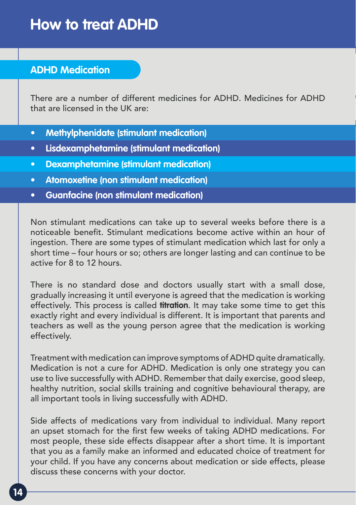### **ADHD Medication**

There are a number of different medicines for ADHD. Medicines for ADHD that are licensed in the UK are:

- **• Methylphenidate (stimulant medication)**
- **• Lisdexamphetamine (stimulant medication)**
- **• Dexamphetamine (stimulant medication)**
- **• Atomoxetine (non stimulant medication)**
- **• Guanfacine (non stimulant medication)**

Non stimulant medications can take up to several weeks before there is a noticeable benefit. Stimulant medications become active within an hour of ingestion. There are some types of stimulant medication which last for only a short time – four hours or so; others are longer lasting and can continue to be active for 8 to 12 hours.

There is no standard dose and doctors usually start with a small dose, gradually increasing it until everyone is agreed that the medication is working effectively. This process is called **titration**. It may take some time to get this exactly right and every individual is different. It is important that parents and teachers as well as the young person agree that the medication is working effectively.

Treatment with medication can improve symptoms of ADHD quite dramatically. Medication is not a cure for ADHD. Medication is only one strategy you can use to live successfully with ADHD. Remember that daily exercise, good sleep, healthy nutrition, social skills training and cognitive behavioural therapy, are all important tools in living successfully with ADHD.

Side affects of medications vary from individual to individual. Many report an upset stomach for the first few weeks of taking ADHD medications. For most people, these side effects disappear after a short time. It is important that you as a family make an informed and educated choice of treatment for your child. If you have any concerns about medication or side effects, please discuss these concerns with your doctor.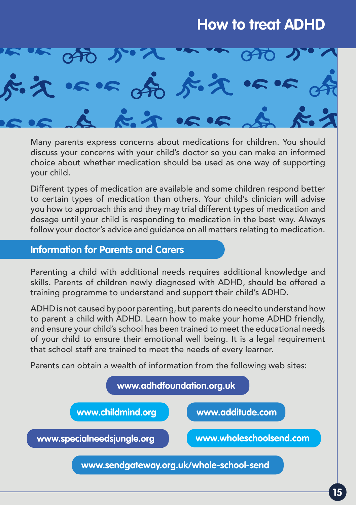

Many parents express concerns about medications for children. You should discuss your concerns with your child's doctor so you can make an informed choice about whether medication should be used as one way of supporting your child.

Different types of medication are available and some children respond better to certain types of medication than others. Your child's clinician will advise you how to approach this and they may trial different types of medication and dosage until your child is responding to medication in the best way. Always follow your doctor's advice and guidance on all matters relating to medication.

### **Information for Parents and Carers**

Parenting a child with additional needs requires additional knowledge and skills. Parents of children newly diagnosed with ADHD, should be offered a training programme to understand and support their child's ADHD.

ADHD is not caused by poor parenting, but parents do need to understand how to parent a child with ADHD. Learn how to make your home ADHD friendly, and ensure your child's school has been trained to meet the educational needs of your child to ensure their emotional well being. It is a legal requirement that school staff are trained to meet the needs of every learner.

Parents can obtain a wealth of information from the following web sites:

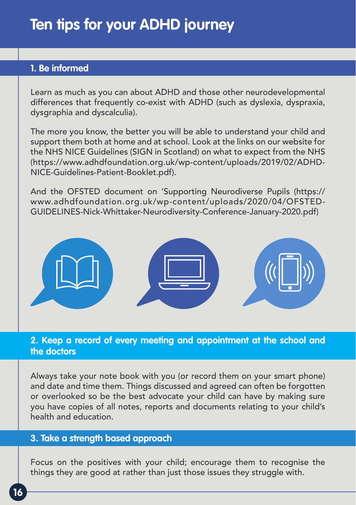### **1. Be informed**

Learn as much as you can about ADHD and those other neurodevelopmental differences that frequently co-exist with ADHD (such as dyslexia, dyspraxia, dysgraphia and dyscalculia).

The more you know, the better you will be able to understand your child and support them both at home and at school. Look at the links on our website for the NHS NICE Guidelines (SIGN in Scotland) on what to expect from the NHS (https://www.adhdfoundation.org.uk/wp-content/uploads/2019/02/ADHD-NICE-Guidelines-Patient-Booklet.pdf).

And the OFSTED document on 'Supporting Neurodiverse Pupils (https:// www.adhdfoundation.org.uk/wp-content/uploads/2020/04/OFSTED-GUIDELINES-Nick-Whittaker-Neurodiversity-Conference-January-2020.pdf)



### **2. Keep a record of every meeting and appointment at the school and the doctors**

Always take your note book with you (or record them on your smart phone) and date and time them. Things discussed and agreed can often be forgotten or overlooked so be the best advocate your child can have by making sure you have copies of all notes, reports and documents relating to your child's health and education.

### **3. Take a strength based approach**

Focus on the positives with your child; encourage them to recognise the things they are good at rather than just those issues they struggle with.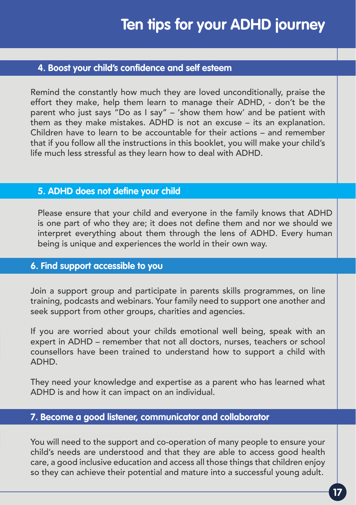### **4. Boost your child's confidence and self esteem**

Remind the constantly how much they are loved unconditionally, praise the effort they make, help them learn to manage their ADHD, - don't be the parent who just says "Do as I say" – 'show them how' and be patient with them as they make mistakes. ADHD is not an excuse – its an explanation. Children have to learn to be accountable for their actions – and remember that if you follow all the instructions in this booklet, you will make your child's life much less stressful as they learn how to deal with ADHD.

### **5. ADHD does not define your child**

Please ensure that your child and everyone in the family knows that ADHD is one part of who they are; it does not define them and nor we should we interpret everything about them through the lens of ADHD. Every human being is unique and experiences the world in their own way.

### **6. Find support accessible to you**

Join a support group and participate in parents skills programmes, on line training, podcasts and webinars. Your family need to support one another and seek support from other groups, charities and agencies.

If you are worried about your childs emotional well being, speak with an expert in ADHD – remember that not all doctors, nurses, teachers or school counsellors have been trained to understand how to support a child with ADHD.

They need your knowledge and expertise as a parent who has learned what ADHD is and how it can impact on an individual.

### **7. Become a good listener, communicator and collaborator**

You will need to the support and co-operation of many people to ensure your child's needs are understood and that they are able to access good health care, a good inclusive education and access all those things that children enjoy so they can achieve their potential and mature into a successful young adult.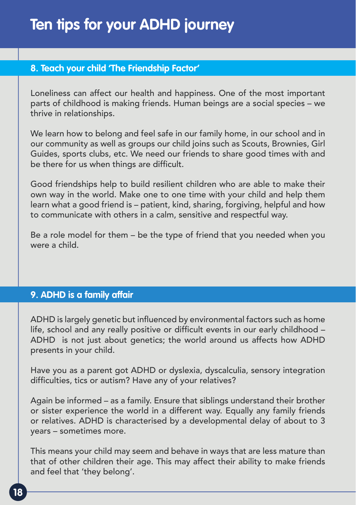### **8. Teach your child 'The Friendship Factor'**

Loneliness can affect our health and happiness. One of the most important parts of childhood is making friends. Human beings are a social species – we thrive in relationships.

We learn how to belong and feel safe in our family home, in our school and in our community as well as groups our child joins such as Scouts, Brownies, Girl Guides, sports clubs, etc. We need our friends to share good times with and be there for us when things are difficult.

Good friendships help to build resilient children who are able to make their own way in the world. Make one to one time with your child and help them learn what a good friend is – patient, kind, sharing, forgiving, helpful and how to communicate with others in a calm, sensitive and respectful way.

Be a role model for them – be the type of friend that you needed when you were a child.

### **9. ADHD is a family affair**

ADHD is largely genetic but influenced by environmental factors such as home life, school and any really positive or difficult events in our early childhood – ADHD is not just about genetics; the world around us affects how ADHD presents in your child.

Have you as a parent got ADHD or dyslexia, dyscalculia, sensory integration difficulties, tics or autism? Have any of your relatives?

Again be informed – as a family. Ensure that siblings understand their brother or sister experience the world in a different way. Equally any family friends or relatives. ADHD is characterised by a developmental delay of about to 3 years – sometimes more.

This means your child may seem and behave in ways that are less mature than that of other children their age. This may affect their ability to make friends and feel that 'they belong'.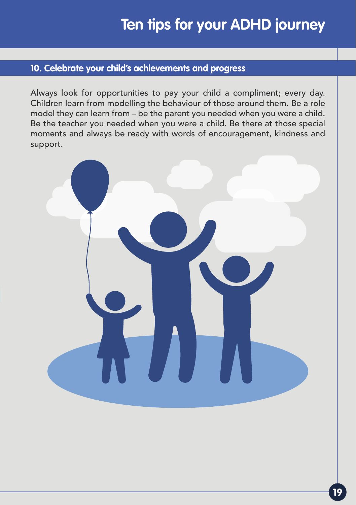### **10. Celebrate your child's achievements and progress**

Always look for opportunities to pay your child a compliment; every day. Children learn from modelling the behaviour of those around them. Be a role model they can learn from – be the parent you needed when you were a child. Be the teacher you needed when you were a child. Be there at those special moments and always be ready with words of encouragement, kindness and support.